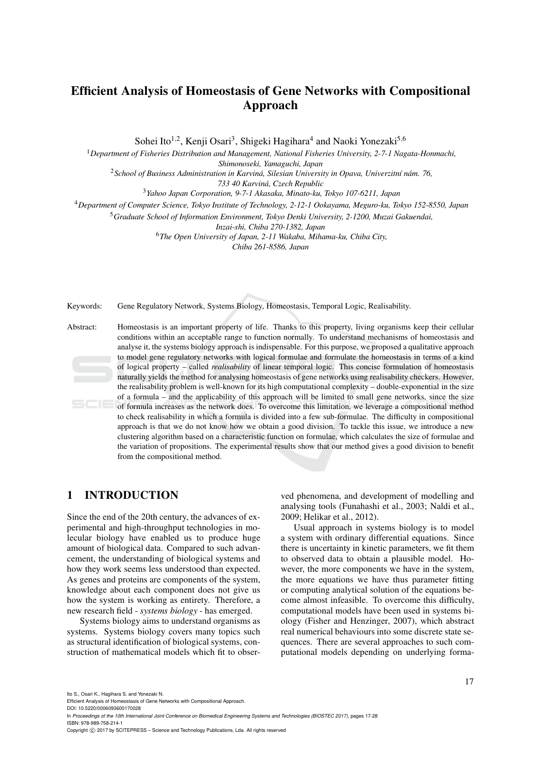# **Efficient Analysis of Homeostasis of Gene Networks with Compositional Approach**

Sohei Ito<sup>1,2</sup>, Kenji Osari<sup>3</sup>, Shigeki Hagihara<sup>4</sup> and Naoki Yonezaki<sup>5,6</sup>

<sup>1</sup>*Department of Fisheries Distribution and Management, National Fisheries University, 2-7-1 Nagata-Honmachi, Shimonoseki, Yamaguchi, Japan*

<sup>2</sup> School of Business Administration in Karviná, Silesian University in Opava, Univerzitní nám. 76,

*733 40 Karvin´a, Czech Republic*

<sup>3</sup>*Yahoo Japan Corporation, 9-7-1 Akasaka, Minato-ku, Tokyo 107-6211, Japan*

<sup>4</sup>*Department of Computer Science, Tokyo Institute of Technology, 2-12-1 Ookayama, Meguro-ku, Tokyo 152-8550, Japan*

<sup>5</sup>*Graduate School of Information Environment, Tokyo Denki University, 2-1200, Muzai Gakuendai,*

*Inzai-shi, Chiba 270-1382, Japan*

<sup>6</sup>*The Open University of Japan, 2-11 Wakaba, Mihama-ku, Chiba City,*

*Chiba 261-8586, Japan*

Keywords: Gene Regulatory Network, Systems Biology, Homeostasis, Temporal Logic, Realisability.

Abstract: Homeostasis is an important property of life. Thanks to this property, living organisms keep their cellular conditions within an acceptable range to function normally. To understand mechanisms of homeostasis and analyse it, the systems biology approach is indispensable. For this purpose, we proposed a qualitative approach to model gene regulatory networks with logical formulae and formulate the homeostasis in terms of a kind of logical property – called *realisability* of linear temporal logic. This concise formulation of homeostasis naturally yields the method for analysing homeostasis of gene networks using realisability checkers. However, the realisability problem is well-known for its high computational complexity – double-exponential in the size of a formula – and the applicability of this approach will be limited to small gene networks, since the size of formula increases as the network does. To overcome this limitation, we leverage a compositional method to check realisability in which a formula is divided into a few sub-formulae. The difficulty in compositional approach is that we do not know how we obtain a good division. To tackle this issue, we introduce a new clustering algorithm based on a characteristic function on formulae, which calculates the size of formulae and the variation of propositions. The experimental results show that our method gives a good division to benefit from the compositional method.

## **1 INTRODUCTION**

Since the end of the 20th century, the advances of experimental and high-throughput technologies in molecular biology have enabled us to produce huge amount of biological data. Compared to such advancement, the understanding of biological systems and how they work seems less understood than expected. As genes and proteins are components of the system, knowledge about each component does not give us how the system is working as entirety. Therefore, a new research field - *systems biology* - has emerged.

Systems biology aims to understand organisms as systems. Systems biology covers many topics such as structural identification of biological systems, construction of mathematical models which fit to observed phenomena, and development of modelling and analysing tools (Funahashi et al., 2003; Naldi et al., 2009; Helikar et al., 2012).

Usual approach in systems biology is to model a system with ordinary differential equations. Since there is uncertainty in kinetic parameters, we fit them to observed data to obtain a plausible model. However, the more components we have in the system, the more equations we have thus parameter fitting or computing analytical solution of the equations become almost infeasible. To overcome this difficulty, computational models have been used in systems biology (Fisher and Henzinger, 2007), which abstract real numerical behaviours into some discrete state sequences. There are several approaches to such computational models depending on underlying forma-

Ito S., Osari K., Hagihara S. and Yonezaki N.

Efficient Analysis of Homeostasis of Gene Networks with Compositional Approach.

DOI: 10.5220/0006093600170028

In *Proceedings of the 10th International Joint Conference on Biomedical Engineering Systems and Technologies (BIOSTEC 2017)*, pages 17-28 ISBN: 978-989-758-214-1

Copyright © 2017 by SCITEPRESS - Science and Technology Publications, Lda. All rights reserved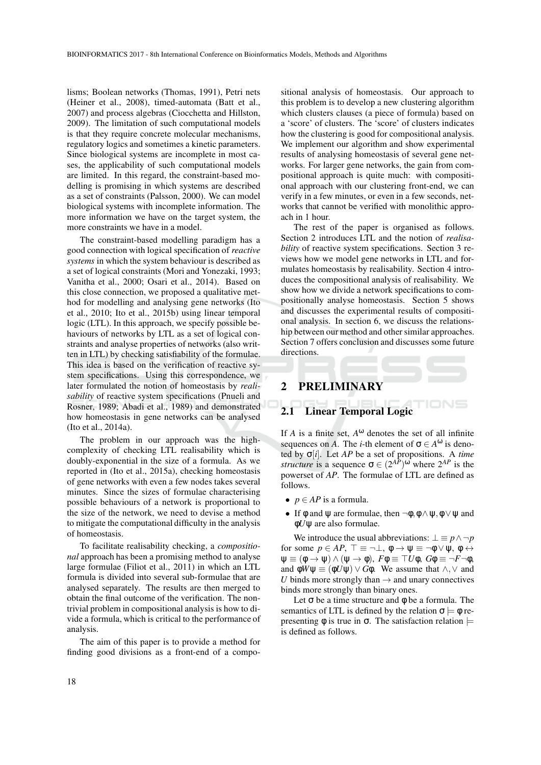lisms; Boolean networks (Thomas, 1991), Petri nets (Heiner et al., 2008), timed-automata (Batt et al., 2007) and process algebras (Ciocchetta and Hillston, 2009). The limitation of such computational models is that they require concrete molecular mechanisms, regulatory logics and sometimes a kinetic parameters. Since biological systems are incomplete in most cases, the applicability of such computational models are limited. In this regard, the constraint-based modelling is promising in which systems are described as a set of constraints (Palsson, 2000). We can model biological systems with incomplete information. The more information we have on the target system, the more constraints we have in a model.

The constraint-based modelling paradigm has a good connection with logical specification of *reactive systems* in which the system behaviour is described as a set of logical constraints (Mori and Yonezaki, 1993; Vanitha et al., 2000; Osari et al., 2014). Based on this close connection, we proposed a qualitative method for modelling and analysing gene networks (Ito et al., 2010; Ito et al., 2015b) using linear temporal logic (LTL). In this approach, we specify possible behaviours of networks by LTL as a set of logical constraints and analyse properties of networks (also written in LTL) by checking satisfiability of the formulae. This idea is based on the verification of reactive system specifications. Using this correspondence, we later formulated the notion of homeostasis by *realisability* of reactive system specifications (Pnueli and Rosner, 1989; Abadi et al., 1989) and demonstrated how homeostasis in gene networks can be analysed (Ito et al., 2014a).

The problem in our approach was the highcomplexity of checking LTL realisability which is doubly-exponential in the size of a formula. As we reported in (Ito et al., 2015a), checking homeostasis of gene networks with even a few nodes takes several minutes. Since the sizes of formulae characterising possible behaviours of a network is proportional to the size of the network, we need to devise a method to mitigate the computational difficulty in the analysis of homeostasis.

To facilitate realisability checking, a *compositional* approach has been a promising method to analyse large formulae (Filiot et al., 2011) in which an LTL formula is divided into several sub-formulae that are analysed separately. The results are then merged to obtain the final outcome of the verification. The nontrivial problem in compositional analysis is how to divide a formula, which is critical to the performance of analysis.

The aim of this paper is to provide a method for finding good divisions as a front-end of a compo-

sitional analysis of homeostasis. Our approach to this problem is to develop a new clustering algorithm which clusters clauses (a piece of formula) based on a 'score' of clusters. The 'score' of clusters indicates how the clustering is good for compositional analysis. We implement our algorithm and show experimental results of analysing homeostasis of several gene networks. For larger gene networks, the gain from compositional approach is quite much: with compositional approach with our clustering front-end, we can verify in a few minutes, or even in a few seconds, networks that cannot be verified with monolithic approach in 1 hour.

The rest of the paper is organised as follows. Section 2 introduces LTL and the notion of *realisability* of reactive system specifications. Section 3 reviews how we model gene networks in LTL and formulates homeostasis by realisability. Section 4 introduces the compositional analysis of realisability. We show how we divide a network specifications to compositionally analyse homeostasis. Section 5 shows and discusses the experimental results of compositional analysis. In section 6, we discuss the relationship between our method and other similar approaches. Section 7 offers conclusion and discusses some future directions.

# **2 PRELIMINARY**

## **2.1 Linear Temporal Logic**

If  $A$  is a finite set,  $A^{\omega}$  denotes the set of all infinite sequences on *A*. The *i*-th element of  $\sigma \in A^{\omega}$  is denoted by σ[*i*]. Let *AP* be a set of propositions. A *time structure* is a sequence  $\sigma \in (2^{AP})^{\omega}$  where  $2^{AP}$  is the powerset of *AP*. The formulae of LTL are defined as follows.

- $p \in AP$  is a formula.
- If  $\phi$  and  $\psi$  are formulae, then  $\neg \phi, \phi \land \psi, \phi \lor \psi$  and φ*U*ψ are also formulae.

We introduce the usual abbreviations:  $\bot \equiv p \land \neg p$ for some  $p \in AP$ ,  $\top \equiv \neg \bot$ ,  $\phi \rightarrow \psi \equiv \neg \phi \lor \psi$ ,  $\phi \leftrightarrow \psi$  $\Psi \equiv (\phi \rightarrow \Psi) \wedge (\Psi \rightarrow \phi), F \phi \equiv \top U \phi, G \phi \equiv \neg F \neg \phi,$ and  $\phi W \psi \equiv (\phi U \psi) \vee G \phi$ . We assume that  $\wedge, \vee$  and *U* binds more strongly than  $\rightarrow$  and unary connectives binds more strongly than binary ones.

Let  $\sigma$  be a time structure and  $\phi$  be a formula. The semantics of LTL is defined by the relation  $\sigma \models \phi$  representing  $φ$  is true in  $σ$ . The satisfaction relation  $\models$ is defined as follows.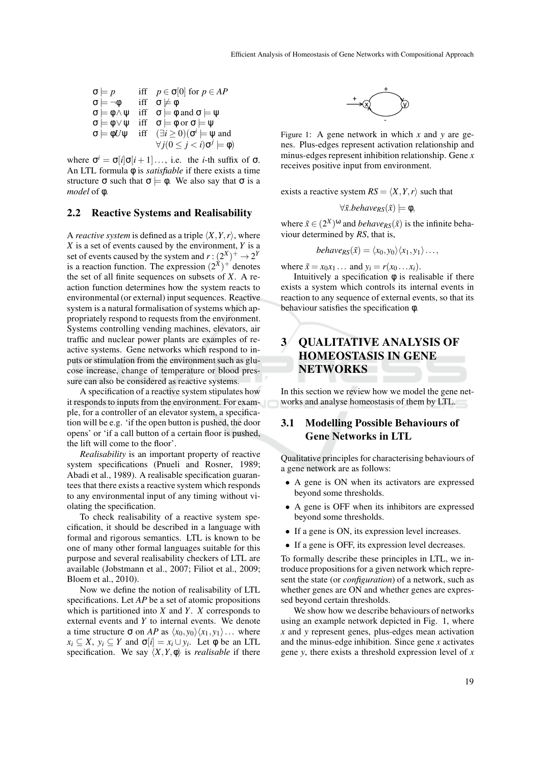$$
\begin{array}{ll}\n\sigma \models p & \text{iff} \quad p \in \sigma[0] \text{ for } p \in AP \\
\sigma \models \neg \phi & \text{iff} \quad \sigma \not\models \phi \\
\sigma \models \phi \land \psi & \text{iff} \quad \sigma \models \phi \text{ and } \sigma \models \psi \\
\sigma \models \phi \lor \psi & \text{iff} \quad \sigma \models \phi \text{ or } \sigma \models \psi \\
\sigma \models \phi U \psi & \text{iff} \quad (\exists i \ge 0)(\sigma^i \models \psi \text{ and} \\
\forall j(0 \le j < i)\sigma^j \models \phi)\n\end{array}
$$

where  $\sigma^i = \sigma[i]\sigma[i+1] \dots$ , i.e. the *i*-th suffix of  $\sigma$ . An LTL formula φ is *satisfiable* if there exists a time structure  $\sigma$  such that  $\sigma \models \phi$ . We also say that  $\sigma$  is a *model* of φ.

#### **2.2 Reactive Systems and Realisability**

A *reactive system* is defined as a triple  $\langle X, Y, r \rangle$ , where *X* is a set of events caused by the environment, *Y* is a set of events caused by the system and  $r:(2^X)^+ \rightarrow 2^Y$ is a reaction function. The expression  $(2^{\dot{x}})^+$  denotes the set of all finite sequences on subsets of *X*. A reaction function determines how the system reacts to environmental (or external) input sequences. Reactive system is a natural formalisation of systems which appropriately respond to requests from the environment. Systems controlling vending machines, elevators, air traffic and nuclear power plants are examples of reactive systems. Gene networks which respond to inputs or stimulation from the environment such as glucose increase, change of temperature or blood pressure can also be considered as reactive systems.

A specification of a reactive system stipulates how it responds to inputs from the environment. For example, for a controller of an elevator system, a specification will be e.g. 'if the open button is pushed, the door opens' or 'if a call button of a certain floor is pushed, the lift will come to the floor'.

*Realisability* is an important property of reactive system specifications (Pnueli and Rosner, 1989; Abadi et al., 1989). A realisable specification guarantees that there exists a reactive system which responds to any environmental input of any timing without violating the specification.

To check realisability of a reactive system specification, it should be described in a language with formal and rigorous semantics. LTL is known to be one of many other formal languages suitable for this purpose and several realisability checkers of LTL are available (Jobstmann et al., 2007; Filiot et al., 2009; Bloem et al., 2010).

Now we define the notion of realisability of LTL specifications. Let *AP* be a set of atomic propositions which is partitioned into *X* and *Y*. *X* corresponds to external events and *Y* to internal events. We denote a time structure  $\sigma$  on *AP* as  $\langle x_0, y_0 \rangle \langle x_1, y_1 \rangle \dots$  where  $x_i \subseteq X$ ,  $y_i \subseteq Y$  and  $\sigma[i] = x_i \cup y_i$ . Let  $\phi$  be an LTL specification. We say  $\langle X, Y, \phi \rangle$  is *realisable* if there



Figure 1: A gene network in which *x* and *y* are genes. Plus-edges represent activation relationship and minus-edges represent inhibition relationship. Gene *x* receives positive input from environment.

exists a reactive system  $RS = \langle X, Y, r \rangle$  such that

 $\forall \tilde{x}.behave_{RS}(\tilde{x}) \models \phi,$ 

where  $\tilde{x} \in (2^X)^\omega$  and *behave*<sub>*RS*</sub>( $\tilde{x}$ ) is the infinite behaviour determined by *RS*, that is,

$$
behave_{RS}(\tilde{x})=\langle x_0,y_0\rangle\langle x_1,y_1\rangle\ldots,
$$

where  $\tilde{x} = x_0 x_1 \dots$  and  $y_i = r(x_0 \dots x_i)$ .

Intuitively a specification  $\phi$  is realisable if there exists a system which controls its internal events in reaction to any sequence of external events, so that its behaviour satisfies the specification φ.

# **3 QUALITATIVE ANALYSIS OF HOMEOSTASIS IN GENE NETWORKS**

In this section we review how we model the gene networks and analyse homeostasis of them by LTL.

# **3.1 Modelling Possible Behaviours of Gene Networks in LTL**

Qualitative principles for characterising behaviours of a gene network are as follows:

- A gene is ON when its activators are expressed beyond some thresholds.
- A gene is OFF when its inhibitors are expressed beyond some thresholds.
- If a gene is ON, its expression level increases.
- If a gene is OFF, its expression level decreases.

To formally describe these principles in LTL, we introduce propositions for a given network which represent the state (or *configuration*) of a network, such as whether genes are ON and whether genes are expressed beyond certain thresholds.

We show how we describe behaviours of networks using an example network depicted in Fig. 1, where *x* and *y* represent genes, plus-edges mean activation and the minus-edge inhibition. Since gene *x* activates gene *y*, there exists a threshold expression level of *x*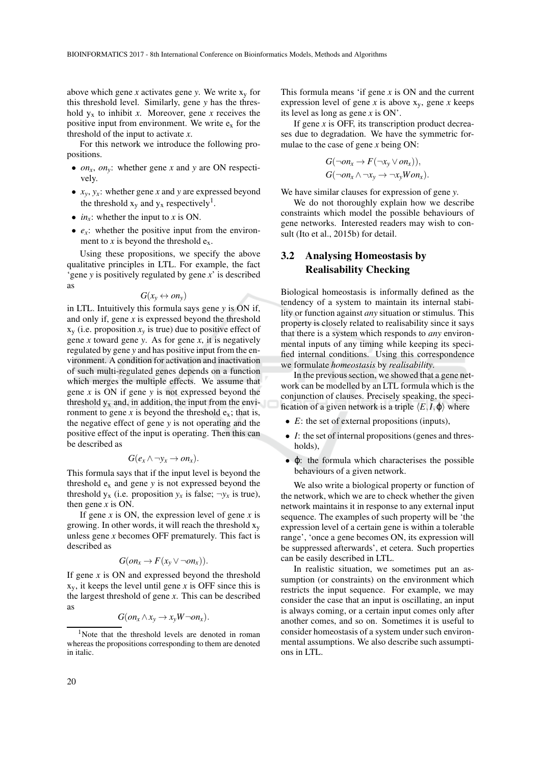above which gene *x* activates gene *y*. We write  $x_y$  for this threshold level. Similarly, gene *y* has the threshold  $y_x$  to inhibit *x*. Moreover, gene *x* receives the positive input from environment. We write  $e_x$  for the threshold of the input to activate *x*.

For this network we introduce the following propositions.

- *onx*, *ony*: whether gene *x* and *y* are ON respectively.
- $x_y$ ,  $y_x$ : whether gene *x* and *y* are expressed beyond the threshold  $x_y$  and  $y_x$  respectively<sup>1</sup>.
- $in_x$ : whether the input to *x* is ON.
- $e_x$ : whether the positive input from the environment to *x* is beyond the threshold  $e_x$ .

Using these propositions, we specify the above qualitative principles in LTL. For example, the fact 'gene *y* is positively regulated by gene *x*' is described as

$$
G(x_v \leftrightarrow on_v)
$$

in LTL. Intuitively this formula says gene *y* is ON if, and only if, gene *x* is expressed beyond the threshold  $x_y$  (i.e. proposition  $x_y$  is true) due to positive effect of gene *x* toward gene *y*. As for gene *x*, it is negatively regulated by gene *y* and has positive input from the environment. A condition for activation and inactivation of such multi-regulated genes depends on a function which merges the multiple effects. We assume that gene *x* is ON if gene *y* is not expressed beyond the threshold  $y_x$  and, in addition, the input from the environment to gene x is beyond the threshold  $e_x$ ; that is, the negative effect of gene *y* is not operating and the positive effect of the input is operating. Then this can be described as

$$
G(e_x \wedge \neg y_x \rightarrow on_x).
$$

This formula says that if the input level is beyond the threshold  $e_x$  and gene  $y$  is not expressed beyond the threshold  $y_x$  (i.e. proposition  $y_x$  is false;  $\neg y_x$  is true), then gene *x* is ON.

If gene  $x$  is ON, the expression level of gene  $x$  is growing. In other words, it will reach the threshold  $x_v$ unless gene *x* becomes OFF prematurely. This fact is described as

$$
G(on_x \to F(x_y \lor \neg on_x)).
$$

If gene *x* is ON and expressed beyond the threshold  $x<sub>v</sub>$ , it keeps the level until gene *x* is OFF since this is the largest threshold of gene *x*. This can be described as

$$
G(on_x \wedge x_y \rightarrow x_y W \neg on_x).
$$

This formula means 'if gene *x* is ON and the current expression level of gene  $x$  is above  $x_y$ , gene  $x$  keeps its level as long as gene *x* is ON'.

If gene *x* is OFF, its transcription product decreases due to degradation. We have the symmetric formulae to the case of gene *x* being ON:

$$
G(\neg on_x \to F(\neg x_y \lor on_x)),
$$
  
 
$$
G(\neg on_x \land \neg x_y \to \neg x_y \text{W} on_x).
$$

We have similar clauses for expression of gene *y*.

We do not thoroughly explain how we describe constraints which model the possible behaviours of gene networks. Interested readers may wish to consult (Ito et al., 2015b) for detail.

### **3.2 Analysing Homeostasis by Realisability Checking**

Biological homeostasis is informally defined as the tendency of a system to maintain its internal stability or function against *any* situation or stimulus. This property is closely related to realisability since it says that there is a system which responds to *any* environmental inputs of any timing while keeping its specified internal conditions. Using this correspondence we formulate *homeostasis* by *realisability*.

In the previous section, we showed that a gene network can be modelled by an LTL formula which is the conjunction of clauses. Precisely speaking, the specification of a given network is a triple  $\langle E, I, \varphi \rangle$  where

- *E*: the set of external propositions (inputs),
- *I*: the set of internal propositions (genes and thresholds),
- φ: the formula which characterises the possible behaviours of a given network.

We also write a biological property or function of the network, which we are to check whether the given network maintains it in response to any external input sequence. The examples of such property will be 'the expression level of a certain gene is within a tolerable range', 'once a gene becomes ON, its expression will be suppressed afterwards', et cetera. Such properties can be easily described in LTL.

In realistic situation, we sometimes put an assumption (or constraints) on the environment which restricts the input sequence. For example, we may consider the case that an input is oscillating, an input is always coming, or a certain input comes only after another comes, and so on. Sometimes it is useful to consider homeostasis of a system under such environmental assumptions. We also describe such assumptions in LTL.

<sup>&</sup>lt;sup>1</sup>Note that the threshold levels are denoted in roman whereas the propositions corresponding to them are denoted in italic.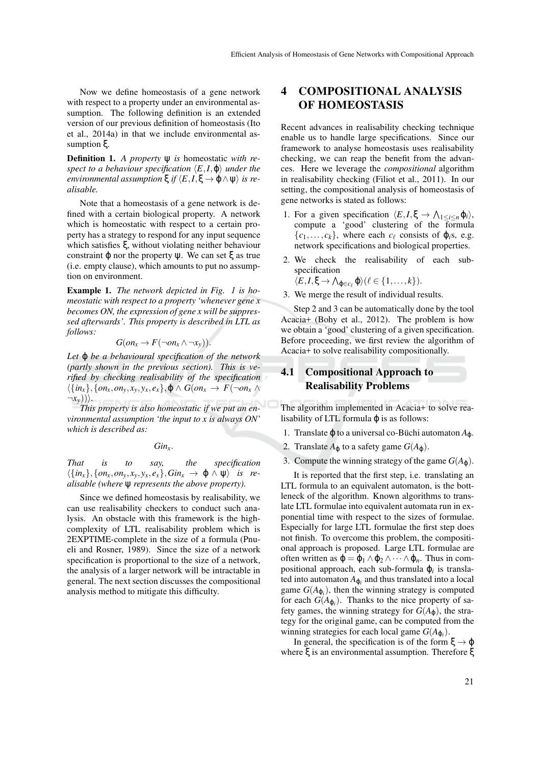Now we define homeostasis of a gene network with respect to a property under an environmental assumption. The following definition is an extended version of our previous definition of homeostasis (Ito et al., 2014a) in that we include environmental assumption ξ.

**Definition 1.** *A property* ψ *is* homeostatic *with respect to a behaviour specification*  $\langle E, I, \varphi \rangle$  *under the environmental assumption*  $\xi$  *if*  $\langle E, I, \xi \to \varphi \land \psi \rangle$  *is realisable.*

Note that a homeostasis of a gene network is defined with a certain biological property. A network which is homeostatic with respect to a certain property has a strategy to respond for any input sequence which satisfies ξ, without violating neither behaviour constraint  $φ$  nor the property  $ψ$ . We can set  $ξ$  as true (i.e. empty clause), which amounts to put no assumption on environment.

**Example 1.** *The network depicted in Fig. 1 is homeostatic with respect to a property 'whenever gene x becomes ON, the expression of gene x will be suppressed afterwards'. This property is described in LTL as follows:*

$$
G(on_x \to F(\neg on_x \land \neg x_y)).
$$

*Let* ϕ *be a behavioural specification of the network (partly shown in the previous section). This is verified by checking realisability of the specification*  $\langle \{in_x\}, \{on_x, on_y, x_y, y_x, e_x\}, \phi \land G (on_x \rightarrow F(\neg on_x \land$  $\neg x_{\nu}$  $\rangle$  $\rangle$ .

*This property is also homeostatic if we put an environmental assumption 'the input to x is always ON' which is described as:*

*Ginx*.

*That is to say, the specification*  $\langle \{in_x\}, \{on_x, on_y, x_y, y_x, e_x\}, Gin_x \rightarrow \varphi \land \psi \rangle$  *is realisable (where* ψ *represents the above property).*

Since we defined homeostasis by realisability, we can use realisability checkers to conduct such analysis. An obstacle with this framework is the highcomplexity of LTL realisability problem which is 2EXPTIME-complete in the size of a formula (Pnueli and Rosner, 1989). Since the size of a network specification is proportional to the size of a network, the analysis of a larger network will be intractable in general. The next section discusses the compositional analysis method to mitigate this difficulty.

# **4 COMPOSITIONAL ANALYSIS OF HOMEOSTASIS**

Recent advances in realisability checking technique enable us to handle large specifications. Since our framework to analyse homeostasis uses realisability checking, we can reap the benefit from the advances. Here we leverage the *compositional* algorithm in realisability checking (Filiot et al., 2011). In our setting, the compositional analysis of homeostasis of gene networks is stated as follows:

- 1. For a given specification  $\langle E, I, \xi \rangle \to \Lambda_{1 \leq i \leq n} \varphi_i$ , compute a 'good' clustering of the formula  ${c_1, \ldots, c_k}$ , where each  $c_\ell$  consists of  $\varphi_i$ s, e.g. network specifications and biological properties.
- 2. We check the realisability of each subspecification

$$
\langle E, I, \xi \to \bigwedge_{\varphi \in c_{\ell}} \varphi \rangle (\ell \in \{1, \ldots, k\}).
$$

3. We merge the result of individual results.

Step 2 and 3 can be automatically done by the tool Acacia+ (Bohy et al., 2012). The problem is how we obtain a 'good' clustering of a given specification. Before proceeding, we first review the algorithm of Acacia+ to solve realisability compositionally.

## **4.1 Compositional Approach to Realisability Problems**

The algorithm implemented in Acacia+ to solve realisability of LTL formula  $\varphi$  is as follows:

- 1. Translate  $\varphi$  to a universal co-Büchi automaton  $A_{\varphi}$ .
- 2. Translate  $A_{\varphi}$  to a safety game  $G(A_{\varphi})$ .
- 3. Compute the winning strategy of the game  $G(A_0)$ .

It is reported that the first step, i.e. translating an LTL formula to an equivalent automaton, is the bottleneck of the algorithm. Known algorithms to translate LTL formulae into equivalent automata run in exponential time with respect to the sizes of formulae. Especially for large LTL formulae the first step does not finish. To overcome this problem, the compositional approach is proposed. Large LTL formulae are often written as  $\varphi = \varphi_1 \wedge \varphi_2 \wedge \cdots \wedge \varphi_n$ . Thus in compositional approach, each sub-formula ϕ*<sup>i</sup>* is translated into automaton  $A_{\varphi_i}$  and thus translated into a local game  $G(A_{\varphi_i})$ , then the winning strategy is computed for each  $G(A_{\varphi_i})$ . Thanks to the nice property of safety games, the winning strategy for  $G(A_{\varphi})$ , the strategy for the original game, can be computed from the winning strategies for each local game  $G(A_{\varphi_i})$ .

In general, the specification is of the form  $\xi \rightarrow \varphi$ where ξ is an environmental assumption. Therefore ξ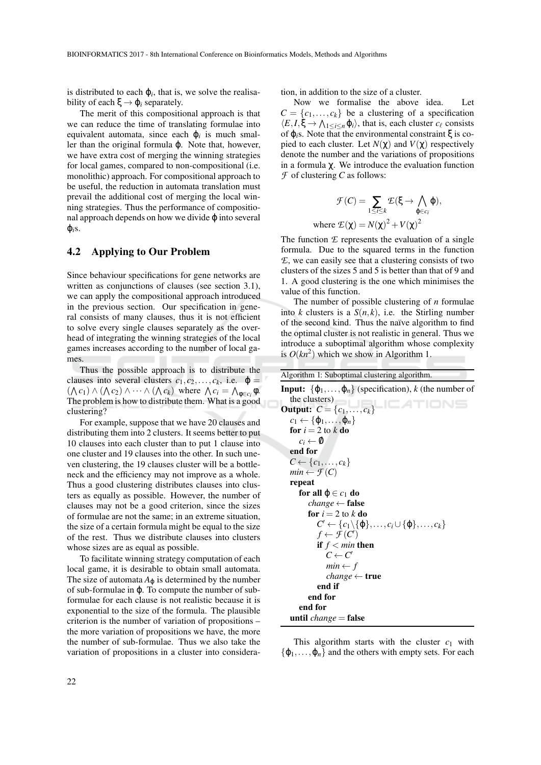is distributed to each  $\varphi_i$ , that is, we solve the realisability of each  $\xi \rightarrow \varphi_i$  separately.

The merit of this compositional approach is that we can reduce the time of translating formulae into equivalent automata, since each  $\varphi_i$  is much smaller than the original formula ϕ. Note that, however, we have extra cost of merging the winning strategies for local games, compared to non-compositional (i.e. monolithic) approach. For compositional approach to be useful, the reduction in automata translation must prevail the additional cost of merging the local winning strategies. Thus the performance of compositional approach depends on how we divide  $\varphi$  into several  $\varphi_i$ <sub>S</sub>.

#### **4.2 Applying to Our Problem**

Since behaviour specifications for gene networks are written as conjunctions of clauses (see section 3.1), we can apply the compositional approach introduced in the previous section. Our specification in general consists of many clauses, thus it is not efficient to solve every single clauses separately as the overhead of integrating the winning strategies of the local games increases according to the number of local games.

Thus the possible approach is to distribute the clauses into several clusters  $c_1, c_2, \ldots, c_k$ , i.e.  $\varphi =$  $(\bigwedge c_1) \land (\bigwedge c_2) \land \cdots \land (\bigwedge c_k)$  where  $\bigwedge c_i = \bigwedge_{\phi \in c_i} \phi$ . The problem is how to distribute them. What is a good clustering?

For example, suppose that we have 20 clauses and distributing them into 2 clusters. It seems better to put 10 clauses into each cluster than to put 1 clause into one cluster and 19 clauses into the other. In such uneven clustering, the 19 clauses cluster will be a bottleneck and the efficiency may not improve as a whole. Thus a good clustering distributes clauses into clusters as equally as possible. However, the number of clauses may not be a good criterion, since the sizes of formulae are not the same; in an extreme situation, the size of a certain formula might be equal to the size of the rest. Thus we distribute clauses into clusters whose sizes are as equal as possible.

To facilitate winning strategy computation of each local game, it is desirable to obtain small automata. The size of automata  $A_{\varphi}$  is determined by the number of sub-formulae in ϕ. To compute the number of subformulae for each clause is not realistic because it is exponential to the size of the formula. The plausible criterion is the number of variation of propositions – the more variation of propositions we have, the more the number of sub-formulae. Thus we also take the variation of propositions in a cluster into consideration, in addition to the size of a cluster.

Now we formalise the above idea. Let  $C = \{c_1, \ldots, c_k\}$  be a clustering of a specification  $\langle E, I, \xi \to \bigwedge_{1 \leq i \leq n} \varphi_i \rangle$ , that is, each cluster  $c_\ell$  consists of ϕ*i*s. Note that the environmental constraint ξ is copied to each cluster. Let  $N(\chi)$  and  $V(\chi)$  respectively denote the number and the variations of propositions in a formula χ. We introduce the evaluation function *F* of clustering *C* as follows:

$$
\mathcal{F}(C) = \sum_{1 \le i \le k} \mathcal{E}(\xi \to \bigwedge_{\varphi \in c_i} \varphi),
$$
  
where  $\mathcal{E}(\chi) = N(\chi)^2 + V(\chi)^2$ 

The function *E* represents the evaluation of a single formula. Due to the squared terms in the function *E*, we can easily see that a clustering consists of two clusters of the sizes 5 and 5 is better than that of 9 and 1. A good clustering is the one which minimises the value of this function.

The number of possible clustering of *n* formulae into *k* clusters is a  $S(n, k)$ , i.e. the Stirling number of the second kind. Thus the naïve algorithm to find the optimal cluster is not realistic in general. Thus we introduce a suboptimal algorithm whose complexity is  $O(kn^2)$  which we show in Algorithm 1.

| Algorithm 1: Suboptimal clustering algorithm.                                            |
|------------------------------------------------------------------------------------------|
| <b>Input:</b> $\{\varphi_1, \ldots, \varphi_n\}$ (specification), k (the number of       |
| the clusters)<br><b>ICATIONS</b>                                                         |
| <b>Output:</b> $C = \{c_1, , c_k\}$                                                      |
| $c_1 \leftarrow {\phi_1, \ldots, \phi_n}$                                                |
| for $i = 2$ to k do                                                                      |
| $c_i \leftarrow \emptyset$                                                               |
| end for                                                                                  |
| $C \leftarrow \{c_1, \ldots, c_k\}$                                                      |
| $min \leftarrow \mathcal{F}(C)$                                                          |
| repeat                                                                                   |
| for all $\varphi \in c_1$ do                                                             |
| <i>change</i> $\leftarrow$ <b>false</b>                                                  |
| for $i = 2$ to k do                                                                      |
| $C' \leftarrow \{c_1 \setminus \{\varphi\}, \ldots, c_i \cup \{\varphi\}, \ldots, c_k\}$ |
| $f \leftarrow \mathcal{F}(C')$                                                           |
| if $f < min$ then                                                                        |
| $C \leftarrow C'$                                                                        |
| $min \leftarrow f$                                                                       |
| <i>change</i> $\leftarrow$ true                                                          |
| end if                                                                                   |
| end for                                                                                  |
| end for                                                                                  |
| until <i>change</i> = false                                                              |
|                                                                                          |

This algorithm starts with the cluster  $c_1$  with  $\{\varphi_1,\ldots,\varphi_n\}$  and the others with empty sets. For each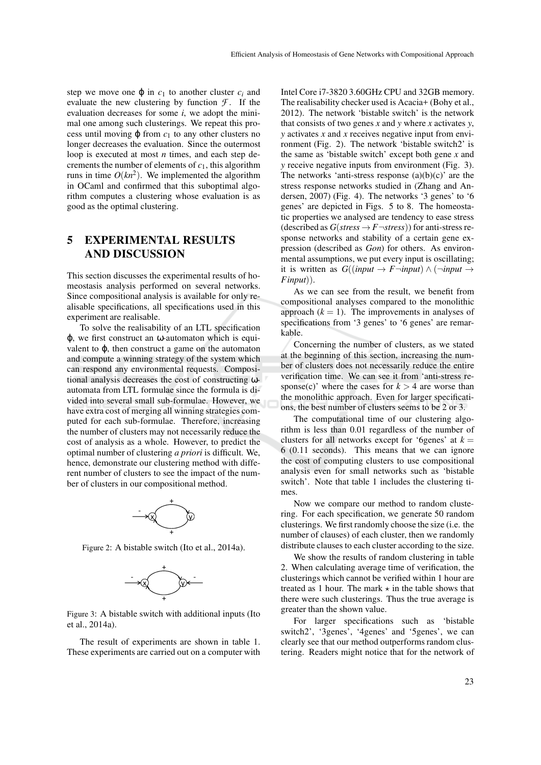step we move one  $\varphi$  in  $c_1$  to another cluster  $c_i$  and evaluate the new clustering by function  $\mathcal{F}$ . If the evaluation decreases for some *i*, we adopt the minimal one among such clusterings. We repeat this process until moving  $\varphi$  from  $c_1$  to any other clusters no longer decreases the evaluation. Since the outermost loop is executed at most *n* times, and each step decrements the number of elements of  $c_1$ , this algorithm runs in time  $O(kn^2)$ . We implemented the algorithm in OCaml and confirmed that this suboptimal algorithm computes a clustering whose evaluation is as good as the optimal clustering.

## **5 EXPERIMENTAL RESULTS AND DISCUSSION**

This section discusses the experimental results of homeostasis analysis performed on several networks. Since compositional analysis is available for only realisable specifications, all specifications used in this experiment are realisable.

To solve the realisability of an LTL specification ϕ, we first construct an ω-automaton which is equivalent to  $\varphi$ , then construct a game on the automaton and compute a winning strategy of the system which can respond any environmental requests. Compositional analysis decreases the cost of constructing ωautomata from LTL formulae since the formula is divided into several small sub-formulae. However, we have extra cost of merging all winning strategies computed for each sub-formulae. Therefore, increasing the number of clusters may not necessarily reduce the cost of analysis as a whole. However, to predict the optimal number of clustering *a priori* is difficult. We, hence, demonstrate our clustering method with different number of clusters to see the impact of the number of clusters in our compositional method.



Figure 2: A bistable switch (Ito et al., 2014a).



Figure 3: A bistable switch with additional inputs (Ito et al., 2014a).

The result of experiments are shown in table 1. These experiments are carried out on a computer with Intel Core i7-3820 3.60GHz CPU and 32GB memory. The realisability checker used is Acacia+ (Bohy et al., 2012). The network 'bistable switch' is the network that consists of two genes *x* and *y* where *x* activates *y*, *y* activates *x* and *x* receives negative input from environment (Fig. 2). The network 'bistable switch2' is the same as 'bistable switch' except both gene *x* and *y* receive negative inputs from environment (Fig. 3). The networks 'anti-stress response  $(a)(b)(c)$ ' are the stress response networks studied in (Zhang and Andersen, 2007) (Fig. 4). The networks '3 genes' to '6 genes' are depicted in Figs. 5 to 8. The homeostatic properties we analysed are tendency to ease stress (described as  $G(\text{stress} \rightarrow F \rightarrow \text{stress})$ ) for anti-stress response networks and stability of a certain gene expression (described as *Gon*) for others. As environmental assumptions, we put every input is oscillating; it is written as  $G((input \rightarrow F \rightarrow input) \land (\rightarrow input \rightarrow$ *Finput*)).

As we can see from the result, we benefit from compositional analyses compared to the monolithic approach  $(k = 1)$ . The improvements in analyses of specifications from '3 genes' to '6 genes' are remarkable.

Concerning the number of clusters, as we stated at the beginning of this section, increasing the number of clusters does not necessarily reduce the entire verification time. We can see it from 'anti-stress response(c)' where the cases for  $k > 4$  are worse than the monolithic approach. Even for larger specifications, the best number of clusters seems to be 2 or 3.

The computational time of our clustering algorithm is less than 0.01 regardless of the number of clusters for all networks except for '6genes' at  $k =$ 6 (0.11 seconds). This means that we can ignore the cost of computing clusters to use compositional analysis even for small networks such as 'bistable switch'. Note that table 1 includes the clustering times.

Now we compare our method to random clustering. For each specification, we generate 50 random clusterings. We first randomly choose the size (i.e. the number of clauses) of each cluster, then we randomly distribute clauses to each cluster according to the size.

We show the results of random clustering in table 2. When calculating average time of verification, the clusterings which cannot be verified within 1 hour are treated as 1 hour. The mark  $\star$  in the table shows that there were such clusterings. Thus the true average is greater than the shown value.

For larger specifications such as 'bistable switch2', '3genes', '4genes' and '5genes', we can clearly see that our method outperforms random clustering. Readers might notice that for the network of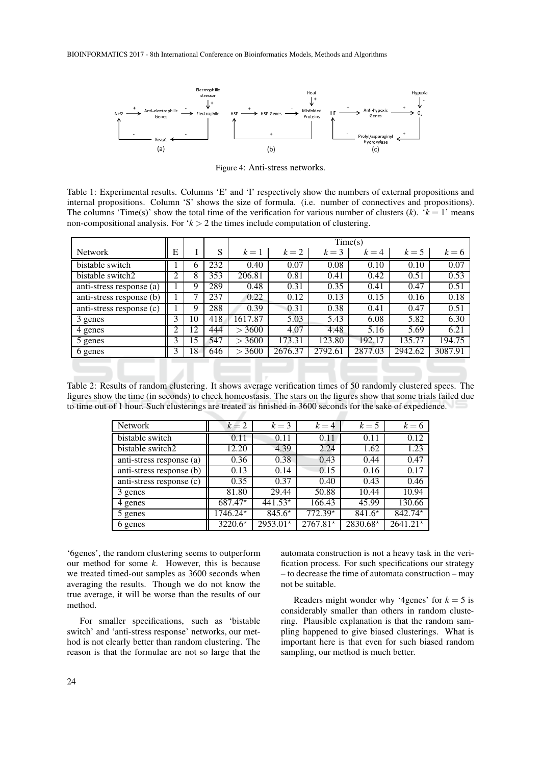BIOINFORMATICS 2017 - 8th International Conference on Bioinformatics Models, Methods and Algorithms



Figure 4: Anti-stress networks.

Table 1: Experimental results. Columns 'E' and 'I' respectively show the numbers of external propositions and internal propositions. Column 'S' shows the size of formula. (i.e. number of connectives and propositions). The columns 'Time(s)' show the total time of the verification for various number of clusters  $(k)$ . ' $k = 1$ ' means non-compositional analysis. For '*k* > 2 the times include computation of clustering.

|                          |   |    |     | Time(s)       |         |         |         |         |         |  |
|--------------------------|---|----|-----|---------------|---------|---------|---------|---------|---------|--|
| <b>Network</b>           | Ε |    | S   | $k=1$         | $k=2$   | $k=3$   | $k = 4$ | $k=5$   | $k = 6$ |  |
| bistable switch          |   | O  | 232 | 0.40          | 0.07    | 0.08    | 0.10    | 0.10    | 0.07    |  |
| bistable switch2         | ◠ | 8  | 353 | 206.81        | 0.81    | 0.41    | 0.42    | 0.51    | 0.53    |  |
| anti-stress response (a) |   | 9  | 289 | 0.48          | 0.31    | 0.35    | 0.41    | 0.47    | 0.51    |  |
| anti-stress response (b) |   |    | 237 | 0.22          | 0.12    | 0.13    | 0.15    | 0.16    | 0.18    |  |
| anti-stress response (c) |   | Q  | 288 | 0.39          | 0.31    | 0.38    | 0.41    | 0.47    | 0.51    |  |
| 3 genes                  | 3 | 10 | 418 | 1617.87       | 5.03    | 5.43    | 6.08    | 5.82    | 6.30    |  |
| 4 genes                  | ◠ | 12 | 444 | 3600<br>$\gt$ | 4.07    | 4.48    | 5.16    | 5.69    | 6.21    |  |
| 5 genes                  |   | 15 | 547 | 3600          | 173.31  | 123.80  | 192.17  | 135.77  | 194.75  |  |
| 6 genes                  |   | 18 | 646 | 3600          | 2676.37 | 2792.61 | 2877.03 | 2942.62 | 3087.91 |  |

Table 2: Results of random clustering. It shows average verification times of 50 randomly clustered specs. The figures show the time (in seconds) to check homeostasis. The stars on the figures show that some trials failed due to time out of 1 hour. Such clusterings are treated as finished in 3600 seconds for the sake of expedience.

| <b>Network</b>           | $k=2$     | $k=3$      | $k = 4$    | $k=5$    | $k=6$      |
|--------------------------|-----------|------------|------------|----------|------------|
| bistable switch          | 0.11      | 0.11       | 0.11       | 0.11     | 0.12       |
| bistable switch2         | 12.20     | 4.39       | 2.24       | 1.62     | 1.23       |
| anti-stress response (a) | 0.36      | 0.38       | 0.43       | 0.44     | 0.47       |
| anti-stress response (b) | 0.13      | 0.14       | 0.15       | 0.16     | 0.17       |
| anti-stress response (c) | 0.35      | 0.37       | 0.40       | 0.43     | 0.46       |
| 3 genes                  | 81.80     | 29.44      | 50.88      | 10.44    | 10.94      |
| 4 genes                  | $687.47*$ | $441.53*$  | 166.43     | 45.99    | 130.66     |
| 5 genes                  | 1746.24*  | $845.6*$   | $772.39*$  | $841.6*$ | $842.74*$  |
| 6 genes                  | $3220.6*$ | $2953.01*$ | $2767.81*$ | 2830.68* | $2641.21*$ |

'6genes', the random clustering seems to outperform our method for some *k*. However, this is because we treated timed-out samples as 3600 seconds when averaging the results. Though we do not know the true average, it will be worse than the results of our method.

For smaller specifications, such as 'bistable switch' and 'anti-stress response' networks, our method is not clearly better than random clustering. The reason is that the formulae are not so large that the

automata construction is not a heavy task in the verification process. For such specifications our strategy – to decrease the time of automata construction – may not be suitable.

Readers might wonder why '4genes' for  $k = 5$  is considerably smaller than others in random clustering. Plausible explanation is that the random sampling happened to give biased clusterings. What is important here is that even for such biased random sampling, our method is much better.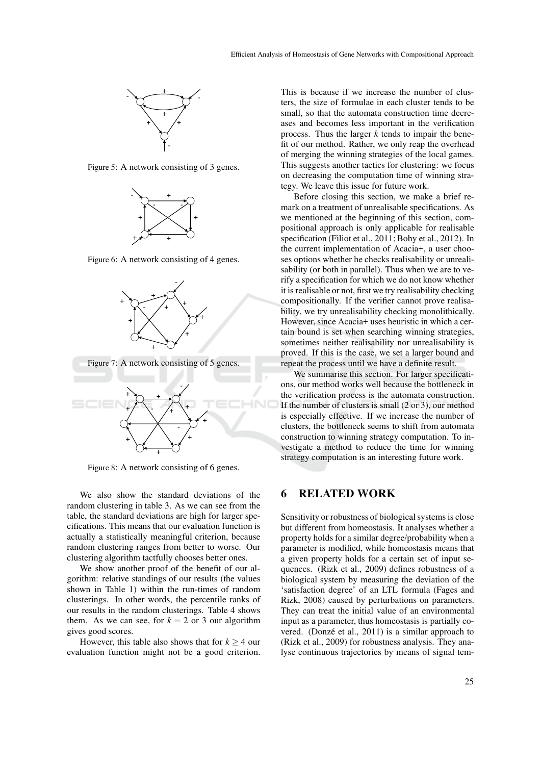

Figure 5: A network consisting of 3 genes.



Figure 6: A network consisting of 4 genes.



Figure 8: A network consisting of 6 genes.

We also show the standard deviations of the random clustering in table 3. As we can see from the table, the standard deviations are high for larger specifications. This means that our evaluation function is actually a statistically meaningful criterion, because random clustering ranges from better to worse. Our clustering algorithm tactfully chooses better ones.

We show another proof of the benefit of our algorithm: relative standings of our results (the values shown in Table 1) within the run-times of random clusterings. In other words, the percentile ranks of our results in the random clusterings. Table 4 shows them. As we can see, for  $k = 2$  or 3 our algorithm gives good scores.

However, this table also shows that for  $k > 4$  our evaluation function might not be a good criterion.

This is because if we increase the number of clusters, the size of formulae in each cluster tends to be small, so that the automata construction time decreases and becomes less important in the verification process. Thus the larger *k* tends to impair the benefit of our method. Rather, we only reap the overhead of merging the winning strategies of the local games. This suggests another tactics for clustering: we focus on decreasing the computation time of winning strategy. We leave this issue for future work.

Before closing this section, we make a brief remark on a treatment of unrealisable specifications. As we mentioned at the beginning of this section, compositional approach is only applicable for realisable specification (Filiot et al., 2011; Bohy et al., 2012). In the current implementation of Acacia+, a user chooses options whether he checks realisability or unrealisability (or both in parallel). Thus when we are to verify a specification for which we do not know whether it is realisable or not, first we try realisability checking compositionally. If the verifier cannot prove realisability, we try unrealisability checking monolithically. However, since Acacia+ uses heuristic in which a certain bound is set when searching winning strategies, sometimes neither realisability nor unrealisability is proved. If this is the case, we set a larger bound and repeat the process until we have a definite result.

We summarise this section. For larger specifications, our method works well because the bottleneck in the verification process is the automata construction. If the number of clusters is small (2 or 3), our method is especially effective. If we increase the number of clusters, the bottleneck seems to shift from automata construction to winning strategy computation. To investigate a method to reduce the time for winning strategy computation is an interesting future work.

### **6 RELATED WORK**

Sensitivity or robustness of biological systems is close but different from homeostasis. It analyses whether a property holds for a similar degree/probability when a parameter is modified, while homeostasis means that a given property holds for a certain set of input sequences. (Rizk et al., 2009) defines robustness of a biological system by measuring the deviation of the 'satisfaction degree' of an LTL formula (Fages and Rizk, 2008) caused by perturbations on parameters. They can treat the initial value of an environmental input as a parameter, thus homeostasis is partially covered. (Donzé et al., 2011) is a similar approach to (Rizk et al., 2009) for robustness analysis. They analyse continuous trajectories by means of signal tem-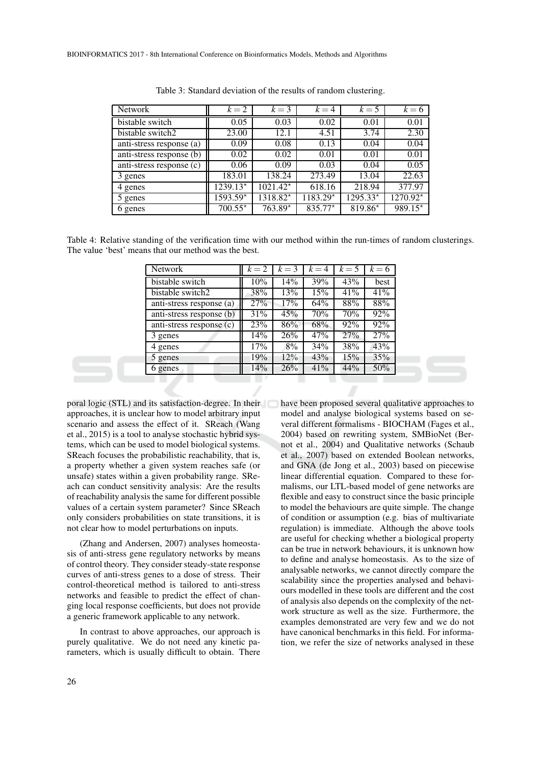| Network                  | $k=2$     | $k=3$                  | $k = 4$   | $k=5$     | $k = 6$   |
|--------------------------|-----------|------------------------|-----------|-----------|-----------|
| bistable switch          | 0.05      | 0.03                   | 0.02      | 0.01      | 0.01      |
| bistable switch2         | 23.00     | 12.1                   | 4.51      | 3.74      | 2.30      |
| anti-stress response (a) | 0.09      | 0.08                   | 0.13      | 0.04      | 0.04      |
| anti-stress response (b) | 0.02      | 0.02                   | 0.01      | 0.01      | 0.01      |
| anti-stress response (c) | 0.06      | 0.09                   | 0.03      | 0.04      | 0.05      |
| 3 genes                  | 183.01    | 138.24                 | 273.49    | 13.04     | 22.63     |
| 4 genes                  | 1239.13*  | $1021.42*$             | 618.16    | 218.94    | 377.97    |
| 5 genes                  | 1593.59*  | $\overline{1318.82^*}$ | 1183.29*  | 1295.33*  | 1270.92*  |
| 6 genes                  | $700.55*$ | 763.89*                | $835.77*$ | $819.86*$ | $989.15*$ |

Table 3: Standard deviation of the results of random clustering.

Table 4: Relative standing of the verification time with our method within the run-times of random clusterings. The value 'best' means that our method was the best.

| Network                  | $k=2$ | $k=3$ | $k = 4$ | $k=5$ | $k=6$ |
|--------------------------|-------|-------|---------|-------|-------|
| bistable switch          | 10%   | 14%   | 39%     | 43%   | best  |
| bistable switch2         | 38%   | 13%   | 15%     | 41%   | 41%   |
| anti-stress response (a) | 27%   | 17%   | 64%     | 88%   | 88%   |
| anti-stress response (b) | 31%   | 45%   | 70%     | 70%   | 92%   |
| anti-stress response (c) | 23%   | 86%   | 68%     | 92%   | 92%   |
| 3 genes                  | 14%   | 26%   | 47%     | 27%   | 27%   |
| 4 genes                  | 17%   | 8%    | 34%     | 38%   | 43%   |
| 5 genes                  | 19%   | 12%   | 43%     | 15%   | 35%   |
| 6 genes                  | 14%   | 26%   | 41%     | 44%   | 50%   |
|                          |       |       |         |       |       |

poral logic (STL) and its satisfaction-degree. In their approaches, it is unclear how to model arbitrary input scenario and assess the effect of it. SReach (Wang et al., 2015) is a tool to analyse stochastic hybrid systems, which can be used to model biological systems. SReach focuses the probabilistic reachability, that is, a property whether a given system reaches safe (or unsafe) states within a given probability range. SReach can conduct sensitivity analysis: Are the results of reachability analysis the same for different possible values of a certain system parameter? Since SReach only considers probabilities on state transitions, it is not clear how to model perturbations on inputs.

(Zhang and Andersen, 2007) analyses homeostasis of anti-stress gene regulatory networks by means of control theory. They consider steady-state response curves of anti-stress genes to a dose of stress. Their control-theoretical method is tailored to anti-stress networks and feasible to predict the effect of changing local response coefficients, but does not provide a generic framework applicable to any network.

In contrast to above approaches, our approach is purely qualitative. We do not need any kinetic parameters, which is usually difficult to obtain. There have been proposed several qualitative approaches to model and analyse biological systems based on several different formalisms - BIOCHAM (Fages et al., 2004) based on rewriting system, SMBioNet (Bernot et al., 2004) and Qualitative networks (Schaub et al., 2007) based on extended Boolean networks, and GNA (de Jong et al., 2003) based on piecewise linear differential equation. Compared to these formalisms, our LTL-based model of gene networks are flexible and easy to construct since the basic principle to model the behaviours are quite simple. The change of condition or assumption (e.g. bias of multivariate regulation) is immediate. Although the above tools are useful for checking whether a biological property can be true in network behaviours, it is unknown how to define and analyse homeostasis. As to the size of analysable networks, we cannot directly compare the scalability since the properties analysed and behaviours modelled in these tools are different and the cost of analysis also depends on the complexity of the network structure as well as the size. Furthermore, the examples demonstrated are very few and we do not have canonical benchmarks in this field. For information, we refer the size of networks analysed in these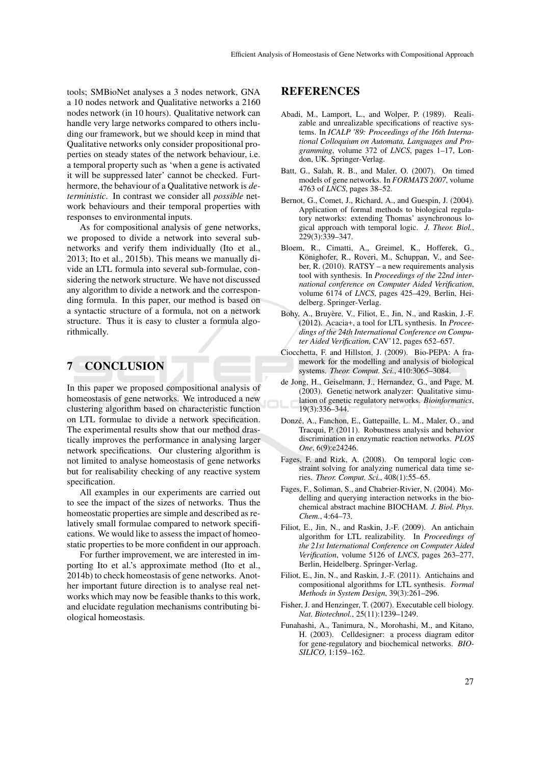tools; SMBioNet analyses a 3 nodes network, GNA a 10 nodes network and Qualitative networks a 2160 nodes network (in 10 hours). Qualitative network can handle very large networks compared to others including our framework, but we should keep in mind that Qualitative networks only consider propositional properties on steady states of the network behaviour, i.e. a temporal property such as 'when a gene is activated it will be suppressed later' cannot be checked. Furthermore, the behaviour of a Qualitative network is *deterministic*. In contrast we consider all *possible* network behaviours and their temporal properties with responses to environmental inputs.

As for compositional analysis of gene networks, we proposed to divide a network into several subnetworks and verify them individually (Ito et al., 2013; Ito et al., 2015b). This means we manually divide an LTL formula into several sub-formulae, considering the network structure. We have not discussed any algorithm to divide a network and the corresponding formula. In this paper, our method is based on a syntactic structure of a formula, not on a network structure. Thus it is easy to cluster a formula algorithmically.

# **7 CONCLUSION**

In this paper we proposed compositional analysis of homeostasis of gene networks. We introduced a new clustering algorithm based on characteristic function on LTL formulae to divide a network specification. The experimental results show that our method drastically improves the performance in analysing larger network specifications. Our clustering algorithm is not limited to analyse homeostasis of gene networks but for realisability checking of any reactive system specification.

All examples in our experiments are carried out to see the impact of the sizes of networks. Thus the homeostatic properties are simple and described as relatively small formulae compared to network specifications. We would like to assess the impact of homeostatic properties to be more confident in our approach.

For further improvement, we are interested in importing Ito et al.'s approximate method (Ito et al., 2014b) to check homeostasis of gene networks. Another important future direction is to analyse real networks which may now be feasible thanks to this work, and elucidate regulation mechanisms contributing biological homeostasis.

#### **REFERENCES**

- Abadi, M., Lamport, L., and Wolper, P. (1989). Realizable and unrealizable specifications of reactive systems. In *ICALP '89: Proceedings of the 16th International Colloquium on Automata, Languages and Programming*, volume 372 of *LNCS*, pages 1–17, London, UK. Springer-Verlag.
- Batt, G., Salah, R. B., and Maler, O. (2007). On timed models of gene networks. In *FORMATS 2007*, volume 4763 of *LNCS*, pages 38–52.
- Bernot, G., Comet, J., Richard, A., and Guespin, J. (2004). Application of formal methods to biological regulatory networks: extending Thomas' asynchronous logical approach with temporal logic. *J. Theor. Biol.*, 229(3):339–347.
- Bloem, R., Cimatti, A., Greimel, K., Hofferek, G., Könighofer, R., Roveri, M., Schuppan, V., and Seeber, R. (2010). RATSY – a new requirements analysis tool with synthesis. In *Proceedings of the 22nd international conference on Computer Aided Verification*, volume 6174 of *LNCS*, pages 425–429, Berlin, Heidelberg. Springer-Verlag.
- Bohy, A., Bruyère, V., Filiot, E., Jin, N., and Raskin, J.-F. (2012). Acacia+, a tool for LTL synthesis. In *Proceedings of the 24th International Conference on Computer Aided Verification*, CAV'12, pages 652–657.
- Ciocchetta, F. and Hillston, J. (2009). Bio-PEPA: A framework for the modelling and analysis of biological systems. *Theor. Comput. Sci.*, 410:3065–3084.
- de Jong, H., Geiselmann, J., Hernandez, G., and Page, M. (2003). Genetic network analyzer: Qualitative simulation of genetic regulatory networks. *Bioinformatics*, 19(3):336–344.
- Donzé, A., Fanchon, E., Gattepaille, L. M., Maler, O., and Tracqui, P. (2011). Robustness analysis and behavior discrimination in enzymatic reaction networks. *PLOS One*, 6(9):e24246.
- Fages, F. and Rizk, A. (2008). On temporal logic constraint solving for analyzing numerical data time series. *Theor. Comput. Sci.*, 408(1):55–65.
- Fages, F., Soliman, S., and Chabrier-Rivier, N. (2004). Modelling and querying interaction networks in the biochemical abstract machine BIOCHAM. *J. Biol. Phys. Chem.*, 4:64–73.
- Filiot, E., Jin, N., and Raskin, J.-F. (2009). An antichain algorithm for LTL realizability. In *Proceedings of the 21st International Conference on Computer Aided Verification*, volume 5126 of *LNCS*, pages 263–277, Berlin, Heidelberg. Springer-Verlag.
- Filiot, E., Jin, N., and Raskin, J.-F. (2011). Antichains and compositional algorithms for LTL synthesis. *Formal Methods in System Design*, 39(3):261–296.
- Fisher, J. and Henzinger, T. (2007). Executable cell biology. *Nat. Biotechnol.*, 25(11):1239–1249.
- Funahashi, A., Tanimura, N., Morohashi, M., and Kitano, H. (2003). Celldesigner: a process diagram editor for gene-regulatory and biochemical networks. *BIO-SILICO*, 1:159–162.